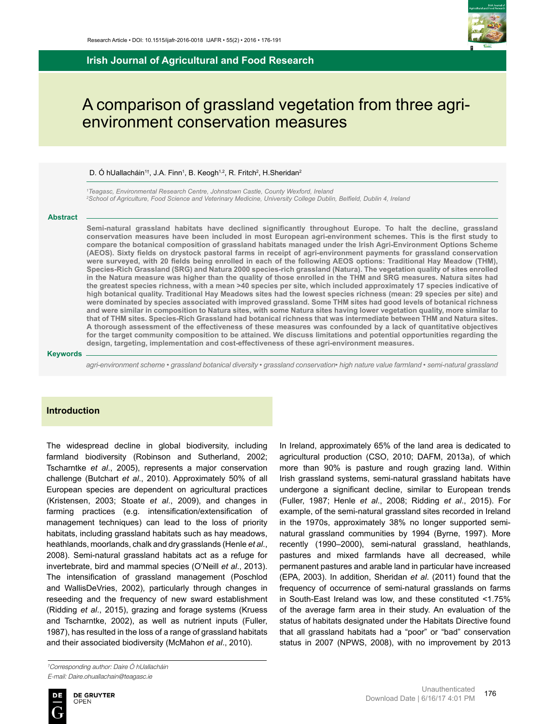**Irish Journal of Agricultural and Food Research**



# A comparison of grassland vegetation from three agrienvironment conservation measures

#### D. O hUallacháin<sup>1†</sup>, J.A. Finn<sup>1</sup>, B. Keogh<sup>1,2</sup>, R. Fritch<sup>2</sup>, H. Sheridan<sup>2</sup>

*1 Teagasc, Environmental Research Centre, Johnstown Castle, County Wexford, Ireland 2 School of Agriculture, Food Science and Veterinary Medicine, University College Dublin, Belfield, Dublin 4, Ireland*

**Abstract**

**Semi-natural grassland habitats have declined significantly throughout Europe. To halt the decline, grassland conservation measures have been included in most European agri-environment schemes. This is the first study to compare the botanical composition of grassland habitats managed under the Irish Agri-Environment Options Scheme (AEOS). Sixty fields on drystock pastoral farms in receipt of agri-environment payments for grassland conservation were surveyed, with 20 fields being enrolled in each of the following AEOS options: Traditional Hay Meadow (THM), Species-Rich Grassland (SRG) and Natura 2000 species-rich grassland (Natura). The vegetation quality of sites enrolled in the Natura measure was higher than the quality of those enrolled in the THM and SRG measures. Natura sites had the greatest species richness, with a mean >40 species per site, which included approximately 17 species indicative of high botanical quality. Traditional Hay Meadows sites had the lowest species richness (mean: 29 species per site) and were dominated by species associated with improved grassland. Some THM sites had good levels of botanical richness and were similar in composition to Natura sites, with some Natura sites having lower vegetation quality, more similar to that of THM sites. Species-Rich Grassland had botanical richness that was intermediate between THM and Natura sites. A thorough assessment of the effectiveness of these measures was confounded by a lack of quantitative objectives for the target community composition to be attained. We discuss limitations and potential opportunities regarding the design, targeting, implementation and cost-effectiveness of these agri-environment measures.**

#### **Keywords**

*agri-environment scheme • grassland botanical diversity • grassland conservation• high nature value farmland • semi-natural grassland*

# **Introduction**

The widespread decline in global biodiversity, including farmland biodiversity (Robinson and Sutherland, 2002; Tscharntke *et al*., 2005), represents a major conservation challenge (Butchart *et al*., 2010). Approximately 50% of all European species are dependent on agricultural practices (Kristensen, 2003; Stoate *et al*., 2009), and changes in farming practices (e.g. intensification/extensification of management techniques) can lead to the loss of priority habitats, including grassland habitats such as hay meadows, heathlands, moorlands, chalk and dry grasslands (Henle *et al*., 2008). Semi-natural grassland habitats act as a refuge for invertebrate, bird and mammal species (O'Neill *et al*., 2013). The intensification of grassland management (Poschlod and WallisDeVries, 2002), particularly through changes in reseeding and the frequency of new sward establishment (Ridding *et al*., 2015), grazing and forage systems (Kruess and Tscharntke, 2002), as well as nutrient inputs (Fuller, 1987), has resulted in the loss of a range of grassland habitats and their associated biodiversity (McMahon *et al*., 2010).

*E-mail: Daire.ohuallachain@teagasc.ie*

In Ireland, approximately 65% of the land area is dedicated to agricultural production (CSO, 2010; DAFM, 2013a), of which more than 90% is pasture and rough grazing land. Within Irish grassland systems, semi-natural grassland habitats have undergone a significant decline, similar to European trends (Fuller, 1987; Henle *et al*., 2008; Ridding *et al*., 2015). For example, of the semi-natural grassland sites recorded in Ireland in the 1970s, approximately 38% no longer supported seminatural grassland communities by 1994 (Byrne, 1997). More recently (1990–2000), semi-natural grassland, heathlands, pastures and mixed farmlands have all decreased, while permanent pastures and arable land in particular have increased (EPA, 2003). In addition, Sheridan *et al*. (2011) found that the frequency of occurrence of semi-natural grasslands on farms in South-East Ireland was low, and these constituted <1.75% of the average farm area in their study. An evaluation of the status of habitats designated under the Habitats Directive found that all grassland habitats had a "poor" or "bad" conservation status in 2007 (NPWS, 2008), with no improvement by 2013

*<sup>†</sup> Corresponding author: Daire Ó hUallacháin*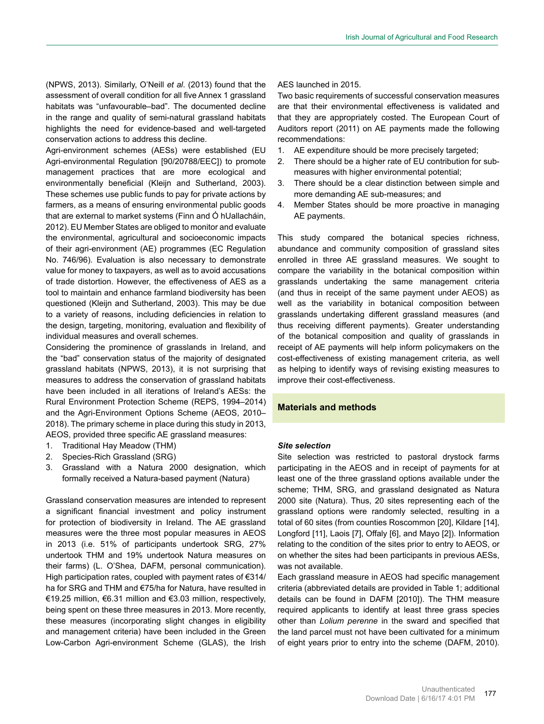(NPWS, 2013). Similarly, O'Neill *et al*. (2013) found that the assessment of overall condition for all five Annex 1 grassland habitats was "unfavourable–bad". The documented decline in the range and quality of semi-natural grassland habitats highlights the need for evidence-based and well-targeted conservation actions to address this decline.

Agri-environment schemes (AESs) were established (EU Agri-environmental Regulation [90/20788/EEC]) to promote management practices that are more ecological and environmentally beneficial (Kleijn and Sutherland, 2003). These schemes use public funds to pay for private actions by farmers, as a means of ensuring environmental public goods that are external to market systems (Finn and Ó hUallacháin, 2012). EU Member States are obliged to monitor and evaluate the environmental, agricultural and socioeconomic impacts of their agri-environment (AE) programmes (EC Regulation No. 746/96). Evaluation is also necessary to demonstrate value for money to taxpayers, as well as to avoid accusations of trade distortion. However, the effectiveness of AES as a tool to maintain and enhance farmland biodiversity has been questioned (Kleijn and Sutherland, 2003). This may be due to a variety of reasons, including deficiencies in relation to the design, targeting, monitoring, evaluation and flexibility of individual measures and overall schemes.

Considering the prominence of grasslands in Ireland, and the "bad" conservation status of the majority of designated grassland habitats (NPWS, 2013), it is not surprising that measures to address the conservation of grassland habitats have been included in all iterations of Ireland's AESs: the Rural Environment Protection Scheme (REPS, 1994–2014) and the Agri-Environment Options Scheme (AEOS, 2010– 2018). The primary scheme in place during this study in 2013, AEOS, provided three specific AE grassland measures:

- 1. Traditional Hay Meadow (THM)
- 2. Species-Rich Grassland (SRG)
- 3. Grassland with a Natura 2000 designation, which formally received a Natura-based payment (Natura)

Grassland conservation measures are intended to represent a significant financial investment and policy instrument for protection of biodiversity in Ireland. The AE grassland measures were the three most popular measures in AEOS in 2013 (i.e. 51% of participants undertook SRG, 27% undertook THM and 19% undertook Natura measures on their farms) (L. O'Shea, DAFM, personal communication). High participation rates, coupled with payment rates of €314/ ha for SRG and THM and €75/ha for Natura, have resulted in €19.25 million, €6.31 million and €3.03 million, respectively, being spent on these three measures in 2013. More recently, these measures (incorporating slight changes in eligibility and management criteria) have been included in the Green Low-Carbon Agri-environment Scheme (GLAS), the Irish

## AES launched in 2015.

Two basic requirements of successful conservation measures are that their environmental effectiveness is validated and that they are appropriately costed. The European Court of Auditors report (2011) on AE payments made the following recommendations:

- 1. AE expenditure should be more precisely targeted;
- 2. There should be a higher rate of EU contribution for submeasures with higher environmental potential;
- 3. There should be a clear distinction between simple and more demanding AE sub-measures; and
- 4. Member States should be more proactive in managing AE payments.

This study compared the botanical species richness, abundance and community composition of grassland sites enrolled in three AE grassland measures. We sought to compare the variability in the botanical composition within grasslands undertaking the same management criteria (and thus in receipt of the same payment under AEOS) as well as the variability in botanical composition between grasslands undertaking different grassland measures (and thus receiving different payments). Greater understanding of the botanical composition and quality of grasslands in receipt of AE payments will help inform policymakers on the cost-effectiveness of existing management criteria, as well as helping to identify ways of revising existing measures to improve their cost-effectiveness.

## **Materials and methods**

## *Site selection*

Site selection was restricted to pastoral drystock farms participating in the AEOS and in receipt of payments for at least one of the three grassland options available under the scheme; THM, SRG, and grassland designated as Natura 2000 site (Natura). Thus, 20 sites representing each of the grassland options were randomly selected, resulting in a total of 60 sites (from counties Roscommon [20], Kildare [14], Longford [11], Laois [7], Offaly [6], and Mayo [2]). Information relating to the condition of the sites prior to entry to AEOS, or on whether the sites had been participants in previous AESs, was not available.

Each grassland measure in AEOS had specific management criteria (abbreviated details are provided in Table 1; additional details can be found in DAFM [2010]). The THM measure required applicants to identify at least three grass species other than *Lolium perenne* in the sward and specified that the land parcel must not have been cultivated for a minimum of eight years prior to entry into the scheme (DAFM, 2010).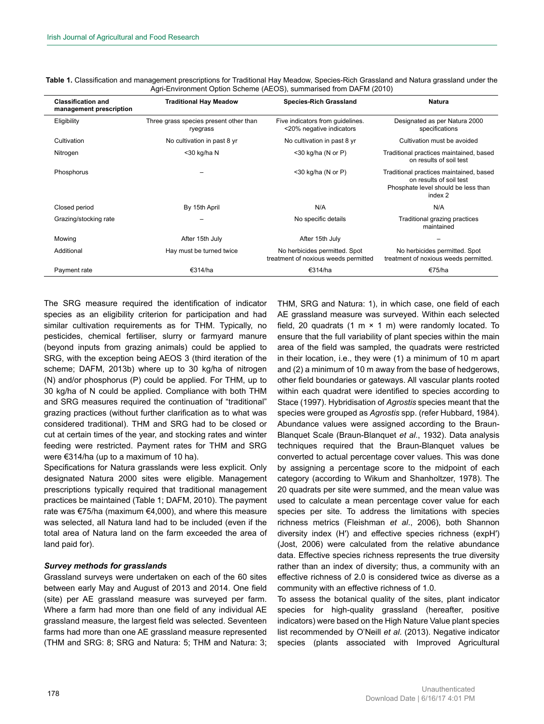| <b>Classification and</b><br>management prescription | <b>Traditional Hay Meadow</b>                      | <b>Species-Rich Grassland</b>                                         | <b>Natura</b>                                                                                                        |
|------------------------------------------------------|----------------------------------------------------|-----------------------------------------------------------------------|----------------------------------------------------------------------------------------------------------------------|
| Eligibility                                          | Three grass species present other than<br>ryegrass | Five indicators from guidelines.<br><20% negative indicators          | Designated as per Natura 2000<br>specifications                                                                      |
| Cultivation                                          | No cultivation in past 8 yr                        | No cultivation in past 8 yr                                           | Cultivation must be avoided                                                                                          |
| Nitrogen                                             | <30 kg/ha N                                        | $<$ 30 kg/ha (N or P)                                                 | Traditional practices maintained, based<br>on results of soil test                                                   |
| Phosphorus                                           |                                                    | $<$ 30 kg/ha (N or P)                                                 | Traditional practices maintained, based<br>on results of soil test<br>Phosphate level should be less than<br>index 2 |
| Closed period                                        | By 15th April                                      | N/A                                                                   | N/A                                                                                                                  |
| Grazing/stocking rate                                |                                                    | No specific details                                                   | Traditional grazing practices<br>maintained                                                                          |
| Mowing                                               | After 15th July                                    | After 15th July                                                       |                                                                                                                      |
| Additional                                           | Hay must be turned twice                           | No herbicides permitted. Spot<br>treatment of noxious weeds permitted | No herbicides permitted. Spot<br>treatment of noxious weeds permitted.                                               |
| Payment rate                                         | €314/ha                                            | €314/ha                                                               | €75/ha                                                                                                               |

**Table 1.** Classification and management prescriptions for Traditional Hay Meadow, Species-Rich Grassland and Natura grassland under the Agri-Environment Option Scheme (AEOS), summarised from DAFM (2010)

The SRG measure required the identification of indicator species as an eligibility criterion for participation and had similar cultivation requirements as for THM. Typically, no pesticides, chemical fertiliser, slurry or farmyard manure (beyond inputs from grazing animals) could be applied to SRG, with the exception being AEOS 3 (third iteration of the scheme; DAFM, 2013b) where up to 30 kg/ha of nitrogen (N) and/or phosphorus (P) could be applied. For THM, up to 30 kg/ha of N could be applied. Compliance with both THM and SRG measures required the continuation of "traditional" grazing practices (without further clarification as to what was considered traditional). THM and SRG had to be closed or cut at certain times of the year, and stocking rates and winter feeding were restricted. Payment rates for THM and SRG were €314/ha (up to a maximum of 10 ha).

Specifications for Natura grasslands were less explicit. Only designated Natura 2000 sites were eligible. Management prescriptions typically required that traditional management practices be maintained (Table 1; DAFM, 2010). The payment rate was €75/ha (maximum €4,000), and where this measure was selected, all Natura land had to be included (even if the total area of Natura land on the farm exceeded the area of land paid for).

#### *Survey methods for grasslands*

Grassland surveys were undertaken on each of the 60 sites between early May and August of 2013 and 2014. One field (site) per AE grassland measure was surveyed per farm. Where a farm had more than one field of any individual AE grassland measure, the largest field was selected. Seventeen farms had more than one AE grassland measure represented (THM and SRG: 8; SRG and Natura: 5; THM and Natura: 3; THM, SRG and Natura: 1), in which case, one field of each AE grassland measure was surveyed. Within each selected field, 20 quadrats  $(1 \text{ m} \times 1 \text{ m})$  were randomly located. To ensure that the full variability of plant species within the main area of the field was sampled, the quadrats were restricted in their location, i.e., they were (1) a minimum of 10 m apart and (2) a minimum of 10 m away from the base of hedgerows, other field boundaries or gateways. All vascular plants rooted within each quadrat were identified to species according to Stace (1997). Hybridisation of *Agrostis* species meant that the species were grouped as *Agrostis* spp. (refer Hubbard, 1984). Abundance values were assigned according to the Braun-Blanquet Scale (Braun-Blanquet *et al*., 1932). Data analysis techniques required that the Braun-Blanquet values be converted to actual percentage cover values. This was done by assigning a percentage score to the midpoint of each category (according to Wikum and Shanholtzer, 1978). The 20 quadrats per site were summed, and the mean value was used to calculate a mean percentage cover value for each species per site. To address the limitations with species richness metrics (Fleishman *et al*., 2006), both Shannon diversity index (H′) and effective species richness (expH′) (Jost, 2006) were calculated from the relative abundance data. Effective species richness represents the true diversity rather than an index of diversity; thus, a community with an effective richness of 2.0 is considered twice as diverse as a community with an effective richness of 1.0.

To assess the botanical quality of the sites, plant indicator species for high-quality grassland (hereafter, positive indicators) were based on the High Nature Value plant species list recommended by O'Neill *et al*. (2013). Negative indicator species (plants associated with Improved Agricultural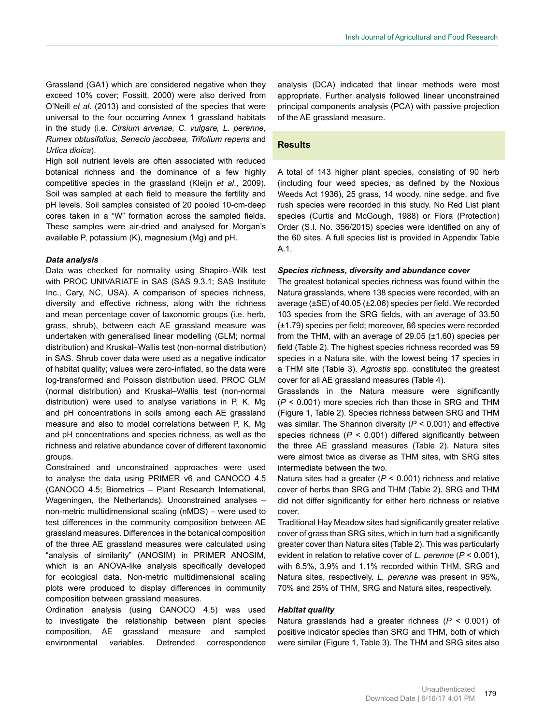Grassland (GA1) which are considered negative when they exceed 10% cover; Fossitt, 2000) were also derived from O'Neill *et al*. (2013) and consisted of the species that were universal to the four occurring Annex 1 grassland habitats in the study (i.e. *Cirsium arvense, C. vulgare, L. perenne, Rumex obtusifolius, Senecio jacobaea, Trifolium repens* and *Urtica dioica*).

High soil nutrient levels are often associated with reduced botanical richness and the dominance of a few highly competitive species in the grassland (Kleijn *et al*., 2009). Soil was sampled at each field to measure the fertility and pH levels. Soil samples consisted of 20 pooled 10-cm-deep cores taken in a "W" formation across the sampled fields. These samples were air-dried and analysed for Morgan's available P, potassium (K), magnesium (Mg) and pH.

#### *Data analysis*

Data was checked for normality using Shapiro–Wilk test with PROC UNIVARIATE in SAS (SAS 9.3.1; SAS Institute Inc., Cary, NC, USA). A comparison of species richness, diversity and effective richness, along with the richness and mean percentage cover of taxonomic groups (i.e. herb, grass, shrub), between each AE grassland measure was undertaken with generalised linear modelling (GLM; normal distribution) and Kruskal–Wallis test (non-normal distribution) in SAS. Shrub cover data were used as a negative indicator of habitat quality; values were zero-inflated, so the data were log-transformed and Poisson distribution used. PROC GLM (normal distribution) and Kruskal–Wallis test (non-normal distribution) were used to analyse variations in P, K, Mg and pH concentrations in soils among each AE grassland measure and also to model correlations between P, K, Mg and pH concentrations and species richness, as well as the richness and relative abundance cover of different taxonomic groups.

Constrained and unconstrained approaches were used to analyse the data using PRIMER v6 and CANOCO 4.5 (CANOCO 4.5; Biometrics – Plant Research International, Wageningen, the Netherlands). Unconstrained analyses – non-metric multidimensional scaling (nMDS) – were used to test differences in the community composition between AE grassland measures. Differences in the botanical composition of the three AE grassland measures were calculated using "analysis of similarity" (ANOSIM) in PRIMER ANOSIM, which is an ANOVA-like analysis specifically developed for ecological data. Non-metric multidimensional scaling plots were produced to display differences in community composition between grassland measures.

Ordination analysis (using CANOCO 4.5) was used to investigate the relationship between plant species composition, AE grassland measure and sampled environmental variables. Detrended correspondence analysis (DCA) indicated that linear methods were most appropriate. Further analysis followed linear unconstrained principal components analysis (PCA) with passive projection of the AE grassland measure.

## **Results**

A total of 143 higher plant species, consisting of 90 herb (including four weed species, as defined by the Noxious Weeds Act 1936), 25 grass, 14 woody, nine sedge, and five rush species were recorded in this study. No Red List plant species (Curtis and McGough, 1988) or Flora (Protection) Order (S.I. No. 356/2015) species were identified on any of the 60 sites. A full species list is provided in Appendix Table A.1.

#### *Species richness, diversity and abundance cover*

The greatest botanical species richness was found within the Natura grasslands, where 138 species were recorded, with an average (±SE) of 40.05 (±2.06) species per field. We recorded 103 species from the SRG fields, with an average of 33.50 (±1.79) species per field; moreover, 86 species were recorded from the THM, with an average of 29.05 (±1.60) species per field (Table 2). The highest species richness recorded was 59 species in a Natura site, with the lowest being 17 species in a THM site (Table 3). *Agrostis* spp. constituted the greatest cover for all AE grassland measures (Table 4).

Grasslands in the Natura measure were significantly (*P* < 0.001) more species rich than those in SRG and THM (Figure 1, Table 2). Species richness between SRG and THM was similar. The Shannon diversity (*P* < 0.001) and effective species richness (*P* < 0.001) differed significantly between the three AE grassland measures (Table 2). Natura sites were almost twice as diverse as THM sites, with SRG sites intermediate between the two.

Natura sites had a greater (*P* < 0.001) richness and relative cover of herbs than SRG and THM (Table 2). SRG and THM did not differ significantly for either herb richness or relative cover.

Traditional Hay Meadow sites had significantly greater relative cover of grass than SRG sites, which in turn had a significantly greater cover than Natura sites (Table 2). This was particularly evident in relation to relative cover of *L. perenne* (*P* < 0.001), with 6.5%, 3.9% and 1.1% recorded within THM, SRG and Natura sites, respectively. *L. perenne* was present in 95%, 70% and 25% of THM, SRG and Natura sites, respectively.

## *Habitat quality*

Natura grasslands had a greater richness (*P* < 0.001) of positive indicator species than SRG and THM, both of which were similar (Figure 1, Table 3). The THM and SRG sites also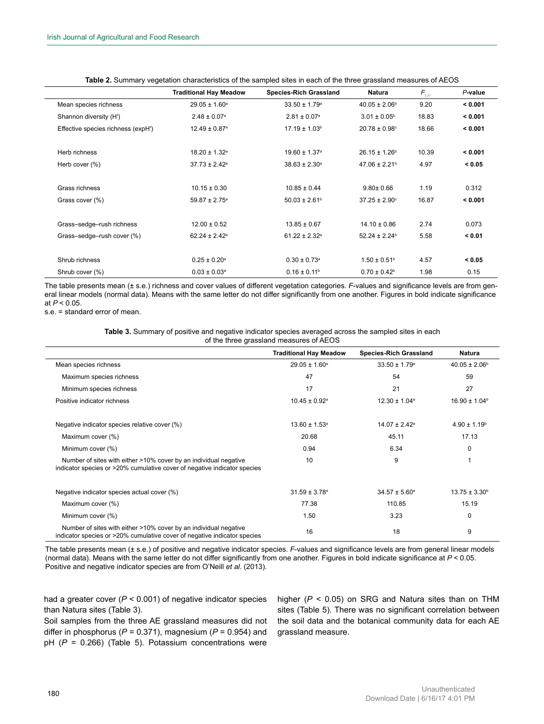|                                    | <b>Traditional Hay Meadow</b> | <b>Species-Rich Grassland</b> | Natura                        | $F_{2.57}$ | $P$ -value |
|------------------------------------|-------------------------------|-------------------------------|-------------------------------|------------|------------|
| Mean species richness              | $29.05 \pm 1.60^a$            | $33.50 \pm 1.79$ <sup>a</sup> | $40.05 \pm 2.06^{\circ}$      | 9.20       | < 0.001    |
| Shannon diversity (H')             | $2.48 \pm 0.07$ <sup>a</sup>  | $2.81 \pm 0.07$ <sup>a</sup>  | $3.01 \pm 0.05^{\circ}$       | 18.83      | < 0.001    |
| Effective species richness (expH') | $12.49 \pm 0.87$ <sup>a</sup> | $17.19 \pm 1.03^b$            | $20.78 \pm 0.98$ °            | 18.66      | < 0.001    |
| Herb richness                      | $18.20 \pm 1.32$ <sup>a</sup> | $19.60 \pm 1.37$ <sup>a</sup> | $26.15 \pm 1.26^b$            | 10.39      | < 0.001    |
| Herb cover (%)                     | $37.73 \pm 2.42^{\circ}$      | $38.63 \pm 2.30^{\circ}$      | $47.06 \pm 2.21$ <sup>b</sup> | 4.97       | < 0.05     |
| Grass richness                     | $10.15 \pm 0.30$              | $10.85 \pm 0.44$              | $9.80 \pm 0.66$               | 1.19       | 0.312      |
| Grass cover (%)                    | $59.87 \pm 2.75^{\circ}$      | $50.03 \pm 2.61$ <sup>b</sup> | $37.25 \pm 2.90^{\circ}$      | 16.87      | < 0.001    |
| Grass-sedge-rush richness          | $12.00 \pm 0.52$              | $13.85 \pm 0.67$              | $14.10 \pm 0.86$              | 2.74       | 0.073      |
| Grass-sedge-rush cover (%)         | $62.24 \pm 2.42^{\circ}$      | $61.22 \pm 2.32$ <sup>a</sup> | $52.24 \pm 2.24$ <sup>b</sup> | 5.58       | < 0.01     |
| Shrub richness                     | $0.25 \pm 0.20^{\circ}$       | $0.30 \pm 0.73$ <sup>a</sup>  | $1.50 \pm 0.51$ <sup>b</sup>  | 4.57       | < 0.05     |
| Shrub cover (%)                    | $0.03 \pm 0.03$ <sup>a</sup>  | $0.16 \pm 0.11$ <sup>b</sup>  | $0.70 \pm 0.42^b$             | 1.98       | 0.15       |

**Table 2.** Summary vegetation characteristics of the sampled sites in each of the three grassland measures of AEOS

The table presents mean (± s.e.) richness and cover values of different vegetation categories. *F*-values and significance levels are from general linear models (normal data). Means with the same letter do not differ significantly from one another. Figures in bold indicate significance at *P* < 0.05.

s.e. = standard error of mean.

**Table 3.** Summary of positive and negative indicator species averaged across the sampled sites in each of the three grassland measures of AEOS

|                                                                                                                                              | <b>Traditional Hay Meadow</b> | <b>Species-Rich Grassland</b> | <b>Natura</b>                |
|----------------------------------------------------------------------------------------------------------------------------------------------|-------------------------------|-------------------------------|------------------------------|
| Mean species richness                                                                                                                        | $29.05 \pm 1.60^{\circ}$      | $33.50 \pm 1.79$ <sup>a</sup> | $40.05 \pm 2.06^{\circ}$     |
| Maximum species richness                                                                                                                     | 47                            | 54                            | 59                           |
| Minimum species richness                                                                                                                     | 17                            | 21                            | 27                           |
| Positive indicator richness                                                                                                                  | $10.45 \pm 0.92$ <sup>a</sup> | $12.30 \pm 1.04^a$            | $16.90 \pm 1.04^b$           |
| Negative indicator species relative cover (%)                                                                                                | $13.60 \pm 1.53$ <sup>a</sup> | $14.07 \pm 2.42$ <sup>a</sup> | $4.90 \pm 1.19$ <sup>b</sup> |
| Maximum cover (%)                                                                                                                            | 20.68                         | 45.11                         | 17.13                        |
| Minimum cover (%)                                                                                                                            | 0.94                          | 6.34                          | $\Omega$                     |
| Number of sites with either >10% cover by an individual negative<br>indicator species or >20% cumulative cover of negative indicator species | 10                            | 9                             |                              |
| Negative indicator species actual cover (%)                                                                                                  | $31.59 \pm 3.78$ <sup>a</sup> | $34.57 \pm 5.60^{\circ}$      | $13.75 \pm 3.30^{\circ}$     |
| Maximum cover (%)                                                                                                                            | 77.38                         | 110.85                        | 15.19                        |
| Minimum cover (%)                                                                                                                            | 1.50                          | 3.23                          | 0                            |
| Number of sites with either >10% cover by an individual negative<br>indicator species or >20% cumulative cover of negative indicator species | 16                            | 18                            | 9                            |

The table presents mean (± s.e.) of positive and negative indicator species. *F*-values and significance levels are from general linear models (normal data). Means with the same letter do not differ significantly from one another. Figures in bold indicate significance at *P* < 0.05. Positive and negative indicator species are from O'Neill *et al*. (2013).

had a greater cover (*P* < 0.001) of negative indicator species than Natura sites (Table 3).

Soil samples from the three AE grassland measures did not differ in phosphorus (*P* = 0.371), magnesium (*P* = 0.954) and pH (*P* = 0.266) (Table 5). Potassium concentrations were

higher (*P* < 0.05) on SRG and Natura sites than on THM sites (Table 5). There was no significant correlation between the soil data and the botanical community data for each AE grassland measure.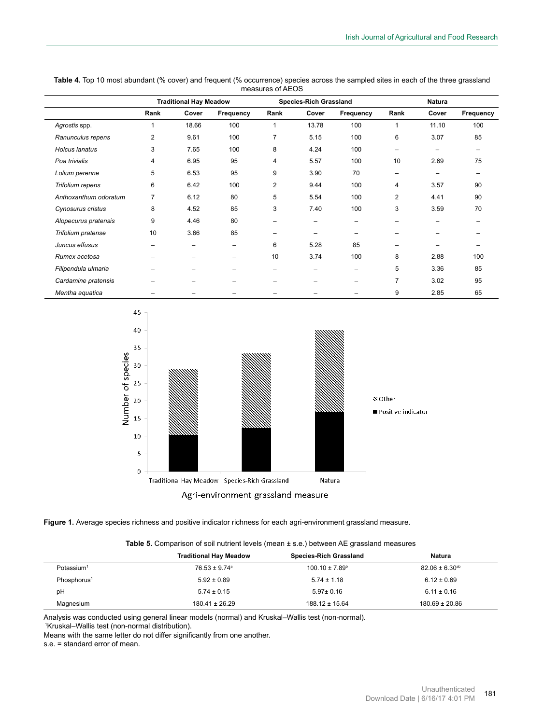|                       |                |                               |           | THE ASULES OF ALOS |                               |                   |                |                 |           |
|-----------------------|----------------|-------------------------------|-----------|--------------------|-------------------------------|-------------------|----------------|-----------------|-----------|
|                       |                | <b>Traditional Hay Meadow</b> |           |                    | <b>Species-Rich Grassland</b> |                   | <b>Natura</b>  |                 |           |
|                       | Rank           | Cover                         | Frequency | Rank               | Cover                         | Frequency         | Rank           | Cover           | Frequency |
| Agrostis spp.         | 1              | 18.66                         | 100       | 1                  | 13.78                         | 100               |                | 11.10           | 100       |
| Ranunculus repens     | $\overline{2}$ | 9.61                          | 100       | 7                  | 5.15                          | 100               | 6              | 3.07            | 85        |
| Holcus lanatus        | 3              | 7.65                          | 100       | 8                  | 4.24                          | 100               |                |                 |           |
| Poa trivialis         | 4              | 6.95                          | 95        | 4                  | 5.57                          | 100               | 10             | 2.69            | 75        |
| Lolium perenne        | 5              | 6.53                          | 95        | 9                  | 3.90                          | 70                | -              | $\qquad \qquad$ | -         |
| Trifolium repens      | 6              | 6.42                          | 100       | $\overline{2}$     | 9.44                          | 100               | 4              | 3.57            | 90        |
| Anthoxanthum odoratum | 7              | 6.12                          | 80        | 5                  | 5.54                          | 100               | 2              | 4.41            | 90        |
| Cynosurus cristus     | 8              | 4.52                          | 85        | 3                  | 7.40                          | 100               | 3              | 3.59            | 70        |
| Alopecurus pratensis  | 9              | 4.46                          | 80        |                    | -                             |                   |                |                 |           |
| Trifolium pratense    | 10             | 3.66                          | 85        |                    | $\overline{\phantom{0}}$      |                   |                |                 |           |
| Juncus effusus        |                | -                             | -         | 6                  | 5.28                          | 85                |                |                 |           |
| Rumex acetosa         |                | -                             | -         | 10                 | 3.74                          | 100               | 8              | 2.88            | 100       |
| Filipendula ulmaria   |                | -                             | -         | $\qquad \qquad$    | $\overline{\phantom{0}}$      | $\qquad \qquad -$ | 5              | 3.36            | 85        |
| Cardamine pratensis   |                |                               |           |                    |                               |                   | $\overline{7}$ | 3.02            | 95        |
| Mentha aquatica       |                |                               |           |                    |                               |                   | 9              | 2.85            | 65        |

**Table 4.** Top 10 most abundant (% cover) and frequent (% occurrence) species across the sampled sites in each of the three grassland measures of AEOS





|  |  | Table 5. Comparison of soil nutrient levels (mean ± s.e.) between AE grassland measures |  |  |  |  |  |  |
|--|--|-----------------------------------------------------------------------------------------|--|--|--|--|--|--|
|--|--|-----------------------------------------------------------------------------------------|--|--|--|--|--|--|

|                         | <b>Traditional Hay Meadow</b> | <b>Species-Rich Grassland</b> | Natura                         |
|-------------------------|-------------------------------|-------------------------------|--------------------------------|
| Potassium <sup>1</sup>  | $76.53 \pm 9.74$ <sup>a</sup> | $100.10 \pm 7.89^{\circ}$     | $82.06 \pm 6.30$ <sup>ab</sup> |
| Phosphorus <sup>1</sup> | $5.92 \pm 0.89$               | $5.74 \pm 1.18$               | $6.12 \pm 0.69$                |
| рH                      | $5.74 \pm 0.15$               | $5.97 \pm 0.16$               | $6.11 \pm 0.16$                |
| Magnesium               | $180.41 \pm 26.29$            | $188.12 \pm 15.64$            | $180.69 \pm 20.86$             |

Analysis was conducted using general linear models (normal) and Kruskal–Wallis test (non-normal). 1Kruskal–Wallis test (non-normal distribution).

Means with the same letter do not differ significantly from one another.

s.e. = standard error of mean.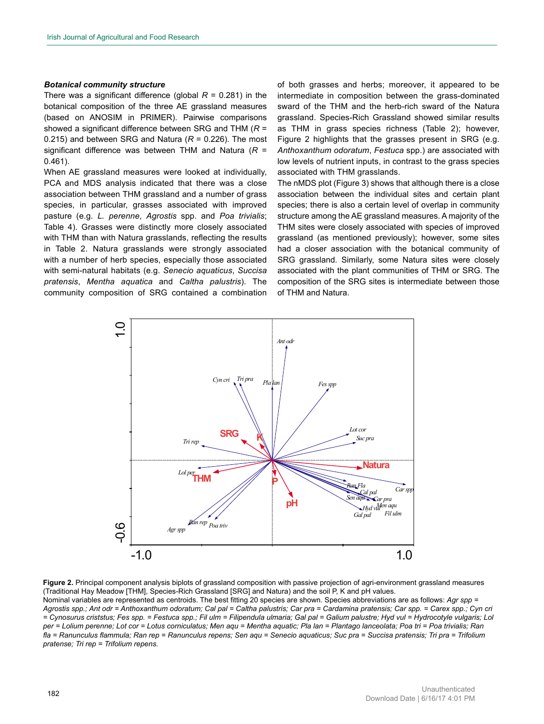#### *Botanical community structure*

There was a significant difference (global *R* = 0.281) in the botanical composition of the three AE grassland measures (based on ANOSIM in PRIMER). Pairwise comparisons showed a significant difference between SRG and THM (*R* = 0.215) and between SRG and Natura  $(R = 0.226)$ . The most significant difference was between THM and Natura (*R* = 0.461).

When AE grassland measures were looked at individually, PCA and MDS analysis indicated that there was a close association between THM grassland and a number of grass species, in particular, grasses associated with improved pasture (e.g. *L. perenne*, *Agrostis* spp. and *Poa trivialis*; Table 4). Grasses were distinctly more closely associated with THM than with Natura grasslands, reflecting the results in Table 2. Natura grasslands were strongly associated with a number of herb species, especially those associated with semi-natural habitats (e.g. *Senecio aquaticus*, *Succisa pratensis*, *Mentha aquatica* and *Caltha palustris*). The community composition of SRG contained a combination of both grasses and herbs; moreover, it appeared to be intermediate in composition between the grass-dominated sward of the THM and the herb-rich sward of the Natura grassland. Species-Rich Grassland showed similar results as THM in grass species richness (Table 2); however, Figure 2 highlights that the grasses present in SRG (e.g. *Anthoxanthum odoratum*, *Festuca* spp.) are associated with low levels of nutrient inputs, in contrast to the grass species associated with THM grasslands.

The nMDS plot (Figure 3) shows that although there is a close association between the individual sites and certain plant species; there is also a certain level of overlap in community structure among the AE grassland measures. A majority of the THM sites were closely associated with species of improved grassland (as mentioned previously); however, some sites had a closer association with the botanical community of SRG grassland. Similarly, some Natura sites were closely associated with the plant communities of THM or SRG. The composition of the SRG sites is intermediate between those of THM and Natura.



**Figure 2.** Principal component analysis biplots of grassland composition with passive projection of agri-environment grassland measures (Traditional Hay Meadow [THM], Species-Rich Grassland [SRG] and Natura) and the soil P, K and pH values.

Nominal variables are represented as centroids. The best fitting 20 species are shown. Species abbreviations are as follows: *Agr spp = Agrostis spp.; Ant odr = Anthoxanthum odoratum; Cal pal = Caltha palustris; Car pra = Cardamina pratensis; Car spp. = Carex spp.; Cyn cri = Cynosurus criststus; Fes spp. = Festuca spp.; Fil ulm = Filipendula ulmaria; Gal pal = Galium palustre; Hyd vul = Hydrocotyle vulgaris; Lol per = Lolium perenne; Lot cor = Lotus corniculatus; Men aqu = Mentha aquatic; Pla lan = Plantago lanceolata; Poa tri = Poa trivialis; Ran fla = Ranunculus flammula; Ran rep = Ranunculus repens; Sen aqu = Senecio aquaticus; Suc pra = Succisa pratensis; Tri pra = Trifolium pratense; Tri rep = Trifolium repens.*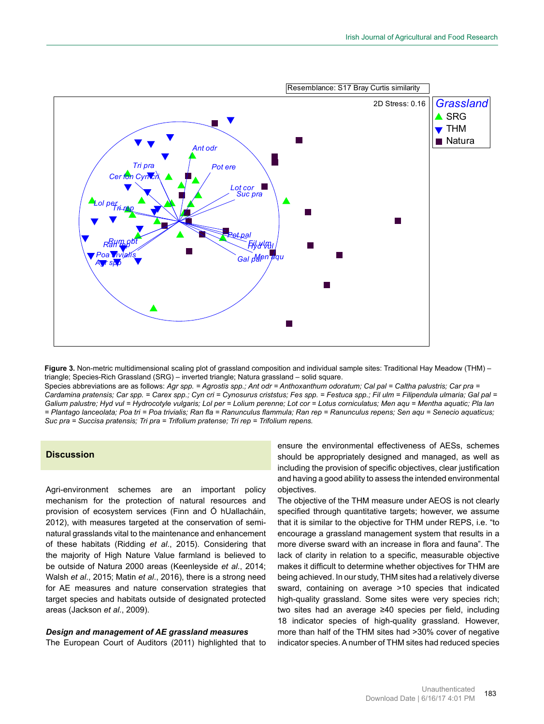

**Figure 3.** Non-metric multidimensional scaling plot of grassland composition and individual sample sites: Traditional Hay Meadow (THM) – triangle; Species-Rich Grassland (SRG) – inverted triangle; Natura grassland – solid square.

Species abbreviations are as follows: *Agr spp. = Agrostis spp.; Ant odr = Anthoxanthum odoratum; Cal pal = Caltha palustris; Car pra = Cardamina pratensis; Car spp. = Carex spp.; Cyn cri = Cynosurus criststus; Fes spp. = Festuca spp.; Fil ulm = Filipendula ulmaria; Gal pal = Galium palustre; Hyd vul = Hydrocotyle vulgaris; Lol per = Lolium perenne; Lot cor = Lotus corniculatus; Men aqu = Mentha aquatic; Pla lan = Plantago lanceolata; Poa tri = Poa trivialis; Ran fla = Ranunculus flammula; Ran rep = Ranunculus repens; Sen aqu = Senecio aquaticus; Suc pra = Succisa pratensis; Tri pra = Trifolium pratense; Tri rep = Trifolium repens.*

## **Discussion**

Agri-environment schemes are an important policy mechanism for the protection of natural resources and provision of ecosystem services (Finn and Ó hUallacháin, 2012), with measures targeted at the conservation of seminatural grasslands vital to the maintenance and enhancement of these habitats (Ridding *et al*., 2015). Considering that the majority of High Nature Value farmland is believed to be outside of Natura 2000 areas (Keenleyside *et al*., 2014; Walsh *et al*., 2015; Matin *et al*., 2016), there is a strong need for AE measures and nature conservation strategies that target species and habitats outside of designated protected areas (Jackson *et al*., 2009).

## *Design and management of AE grassland measures*

The European Court of Auditors (2011) highlighted that to

ensure the environmental effectiveness of AESs, schemes should be appropriately designed and managed, as well as including the provision of specific objectives, clear justification and having a good ability to assess the intended environmental objectives.

The objective of the THM measure under AEOS is not clearly specified through quantitative targets; however, we assume that it is similar to the objective for THM under REPS, i.e. "to encourage a grassland management system that results in a more diverse sward with an increase in flora and fauna". The lack of clarity in relation to a specific, measurable objective makes it difficult to determine whether objectives for THM are being achieved. In our study, THM sites had a relatively diverse sward, containing on average >10 species that indicated high-quality grassland. Some sites were very species rich; two sites had an average ≥40 species per field, including 18 indicator species of high-quality grassland. However, more than half of the THM sites had >30% cover of negative indicator species. A number of THM sites had reduced species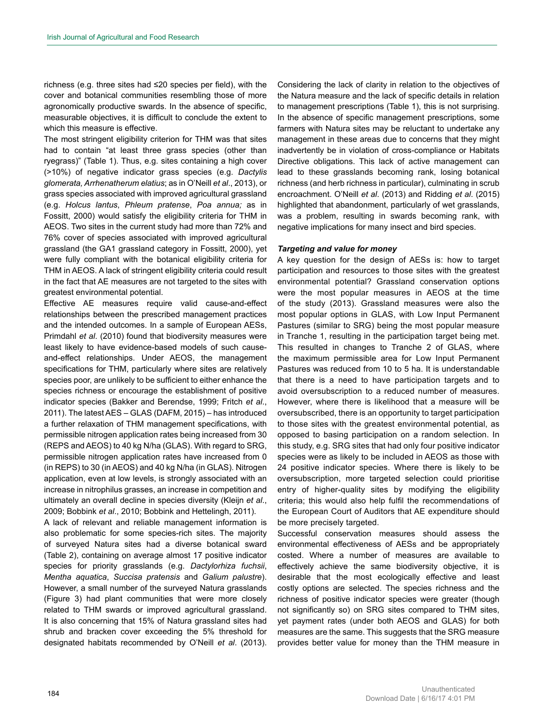richness (e.g. three sites had ≤20 species per field), with the cover and botanical communities resembling those of more agronomically productive swards. In the absence of specific, measurable objectives, it is difficult to conclude the extent to which this measure is effective.

The most stringent eligibility criterion for THM was that sites had to contain "at least three grass species (other than ryegrass)" (Table 1). Thus, e.g. sites containing a high cover (>10%) of negative indicator grass species (e.g. *Dactylis glomerata, Arrhenatherum elatius*; as in O'Neill *et al*., 2013), or grass species associated with improved agricultural grassland (e.g. *Holcus lantus*, *Phleum pratense*, *Poa annua;* as in Fossitt, 2000) would satisfy the eligibility criteria for THM in AEOS. Two sites in the current study had more than 72% and 76% cover of species associated with improved agricultural grassland (the GA1 grassland category in Fossitt, 2000), yet were fully compliant with the botanical eligibility criteria for THM in AEOS. A lack of stringent eligibility criteria could result in the fact that AE measures are not targeted to the sites with greatest environmental potential.

Effective AE measures require valid cause-and-effect relationships between the prescribed management practices and the intended outcomes. In a sample of European AESs, Primdahl *et al*. (2010) found that biodiversity measures were least likely to have evidence-based models of such causeand-effect relationships. Under AEOS, the management specifications for THM, particularly where sites are relatively species poor, are unlikely to be sufficient to either enhance the species richness or encourage the establishment of positive indicator species (Bakker and Berendse, 1999; Fritch *et al*., 2011). The latest AES – GLAS (DAFM, 2015) – has introduced a further relaxation of THM management specifications, with permissible nitrogen application rates being increased from 30 (REPS and AEOS) to 40 kg N/ha (GLAS). With regard to SRG, permissible nitrogen application rates have increased from 0 (in REPS) to 30 (in AEOS) and 40 kg N/ha (in GLAS). Nitrogen application, even at low levels, is strongly associated with an increase in nitrophilus grasses, an increase in competition and ultimately an overall decline in species diversity (Kleijn *et al*., 2009; Bobbink *et al*., 2010; Bobbink and Hettelingh, 2011).

A lack of relevant and reliable management information is also problematic for some species-rich sites. The majority of surveyed Natura sites had a diverse botanical sward (Table 2), containing on average almost 17 positive indicator species for priority grasslands (e.g. *Dactylorhiza fuchsii*, *Mentha aquatica*, *Succisa pratensis* and *Galium palustre*). However, a small number of the surveyed Natura grasslands (Figure 3) had plant communities that were more closely related to THM swards or improved agricultural grassland. It is also concerning that 15% of Natura grassland sites had shrub and bracken cover exceeding the 5% threshold for designated habitats recommended by O'Neill *et al*. (2013). Considering the lack of clarity in relation to the objectives of the Natura measure and the lack of specific details in relation to management prescriptions (Table 1), this is not surprising. In the absence of specific management prescriptions, some farmers with Natura sites may be reluctant to undertake any management in these areas due to concerns that they might inadvertently be in violation of cross-compliance or Habitats Directive obligations. This lack of active management can lead to these grasslands becoming rank, losing botanical richness (and herb richness in particular), culminating in scrub encroachment. O'Neill *et al*. (2013) and Ridding *et al*. (2015) highlighted that abandonment, particularly of wet grasslands, was a problem, resulting in swards becoming rank, with negative implications for many insect and bird species.

## *Targeting and value for money*

A key question for the design of AESs is: how to target participation and resources to those sites with the greatest environmental potential? Grassland conservation options were the most popular measures in AEOS at the time of the study (2013). Grassland measures were also the most popular options in GLAS, with Low Input Permanent Pastures (similar to SRG) being the most popular measure in Tranche 1, resulting in the participation target being met. This resulted in changes to Tranche 2 of GLAS, where the maximum permissible area for Low Input Permanent Pastures was reduced from 10 to 5 ha. It is understandable that there is a need to have participation targets and to avoid oversubscription to a reduced number of measures. However, where there is likelihood that a measure will be oversubscribed, there is an opportunity to target participation to those sites with the greatest environmental potential, as opposed to basing participation on a random selection. In this study, e.g. SRG sites that had only four positive indicator species were as likely to be included in AEOS as those with 24 positive indicator species. Where there is likely to be oversubscription, more targeted selection could prioritise entry of higher-quality sites by modifying the eligibility criteria; this would also help fulfil the recommendations of the European Court of Auditors that AE expenditure should be more precisely targeted.

Successful conservation measures should assess the environmental effectiveness of AESs and be appropriately costed. Where a number of measures are available to effectively achieve the same biodiversity objective, it is desirable that the most ecologically effective and least costly options are selected. The species richness and the richness of positive indicator species were greater (though not significantly so) on SRG sites compared to THM sites, yet payment rates (under both AEOS and GLAS) for both measures are the same. This suggests that the SRG measure provides better value for money than the THM measure in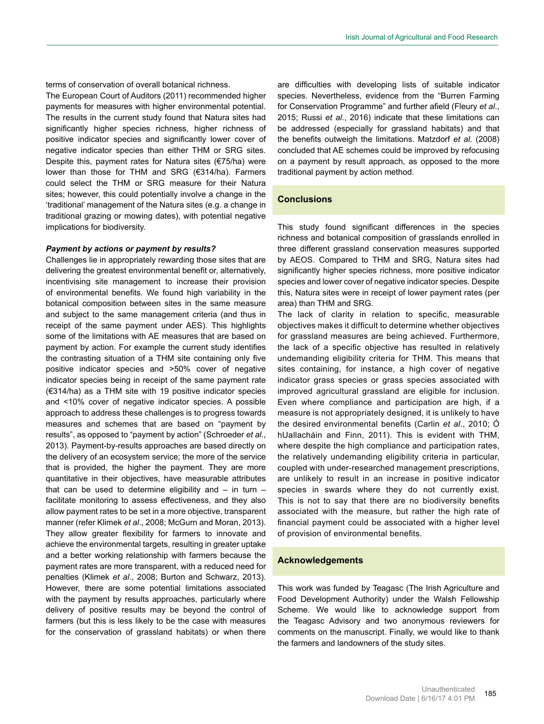terms of conservation of overall botanical richness.

The European Court of Auditors (2011) recommended higher payments for measures with higher environmental potential. The results in the current study found that Natura sites had significantly higher species richness, higher richness of positive indicator species and significantly lower cover of negative indicator species than either THM or SRG sites. Despite this, payment rates for Natura sites (€75/ha) were lower than those for THM and SRG (€314/ha). Farmers could select the THM or SRG measure for their Natura sites; however, this could potentially involve a change in the 'traditional' management of the Natura sites (e.g. a change in traditional grazing or mowing dates), with potential negative implications for biodiversity.

## *Payment by actions or payment by results?*

Challenges lie in appropriately rewarding those sites that are delivering the greatest environmental benefit or, alternatively, incentivising site management to increase their provision of environmental benefits. We found high variability in the botanical composition between sites in the same measure and subject to the same management criteria (and thus in receipt of the same payment under AES). This highlights some of the limitations with AE measures that are based on payment by action. For example the current study identifies the contrasting situation of a THM site containing only five positive indicator species and >50% cover of negative indicator species being in receipt of the same payment rate (€314/ha) as a THM site with 19 positive indicator species and <10% cover of negative indicator species. A possible approach to address these challenges is to progress towards measures and schemes that are based on "payment by results", as opposed to "payment by action" (Schroeder *et al*., 2013). Payment-by-results approaches are based directly on the delivery of an ecosystem service; the more of the service that is provided, the higher the payment. They are more quantitative in their objectives, have measurable attributes that can be used to determine eligibility and  $-$  in turn  $$ facilitate monitoring to assess effectiveness, and they also allow payment rates to be set in a more objective, transparent manner (refer Klimek *et al*., 2008; McGurn and Moran, 2013). They allow greater flexibility for farmers to innovate and achieve the environmental targets, resulting in greater uptake and a better working relationship with farmers because the payment rates are more transparent, with a reduced need for penalties (Klimek *et al*., 2008; Burton and Schwarz, 2013). However, there are some potential limitations associated with the payment by results approaches, particularly where delivery of positive results may be beyond the control of farmers (but this is less likely to be the case with measures for the conservation of grassland habitats) or when there

are difficulties with developing lists of suitable indicator species. Nevertheless, evidence from the "Burren Farming for Conservation Programme" and further afield (Fleury *et al*., 2015; Russi *et al*., 2016) indicate that these limitations can be addressed (especially for grassland habitats) and that the benefits outweigh the limitations. Matzdorf *et al*. (2008) concluded that AE schemes could be improved by refocusing on a payment by result approach, as opposed to the more traditional payment by action method.

# **Conclusions**

This study found significant differences in the species richness and botanical composition of grasslands enrolled in three different grassland conservation measures supported by AEOS. Compared to THM and SRG, Natura sites had significantly higher species richness, more positive indicator species and lower cover of negative indicator species. Despite this, Natura sites were in receipt of lower payment rates (per area) than THM and SRG.

The lack of clarity in relation to specific, measurable objectives makes it difficult to determine whether objectives for grassland measures are being achieved. Furthermore, the lack of a specific objective has resulted in relatively undemanding eligibility criteria for THM. This means that sites containing, for instance, a high cover of negative indicator grass species or grass species associated with improved agricultural grassland are eligible for inclusion. Even where compliance and participation are high, if a measure is not appropriately designed, it is unlikely to have the desired environmental benefits (Carlin *et al*., 2010; Ó hUallacháin and Finn, 2011). This is evident with THM, where despite the high compliance and participation rates, the relatively undemanding eligibility criteria in particular, coupled with under-researched management prescriptions, are unlikely to result in an increase in positive indicator species in swards where they do not currently exist. This is not to say that there are no biodiversity benefits associated with the measure, but rather the high rate of financial payment could be associated with a higher level of provision of environmental benefits.

## **Acknowledgements**

This work was funded by Teagasc (The Irish Agriculture and Food Development Authority) under the Walsh Fellowship Scheme. We would like to acknowledge support from the Teagasc Advisory and two anonymous reviewers for comments on the manuscript. Finally, we would like to thank the farmers and landowners of the study sites.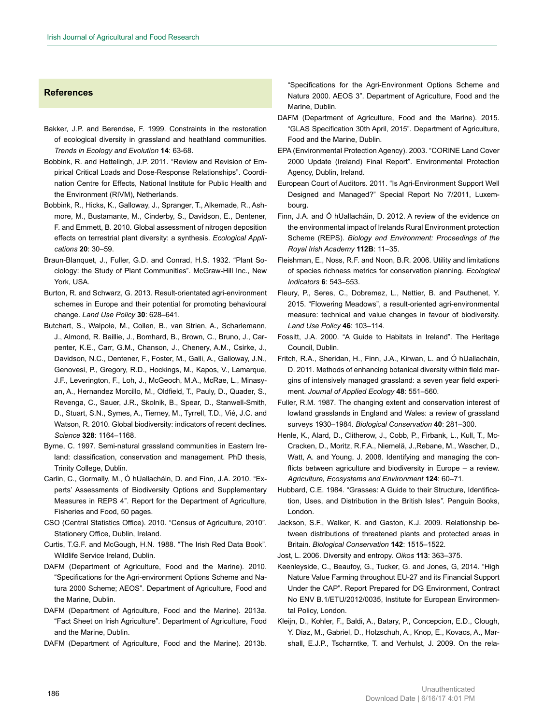# **References**

- Bakker, J.P. and Berendse, F. 1999. Constraints in the restoration of ecological diversity in grassland and heathland communities. *Trends in Ecology and Evolution* **14**: 63-68.
- Bobbink, R. and Hettelingh, J.P. 2011. "Review and Revision of Empirical Critical Loads and Dose-Response Relationships". Coordination Centre for Effects, National Institute for Public Health and the Environment (RIVM), Netherlands.
- Bobbink, R., Hicks, K., Galloway, J., Spranger, T., Alkemade, R., Ashmore, M., Bustamante, M., Cinderby, S., Davidson, E., Dentener, F. and Emmett, B. 2010. Global assessment of nitrogen deposition effects on terrestrial plant diversity: a synthesis. *Ecological Applications* **20**: 30–59.
- Braun-Blanquet, J., Fuller, G.D. and Conrad, H.S. 1932. "Plant Sociology: the Study of Plant Communities"*.* McGraw-Hill Inc., New York, USA.
- Burton, R. and Schwarz, G. 2013. Result-orientated agri-environment schemes in Europe and their potential for promoting behavioural change. *Land Use Policy* **30**: 628–641.
- Butchart, S., Walpole, M., Collen, B., van Strien, A., Scharlemann, J., Almond, R. Baillie, J., Bomhard, B., Brown, C., Bruno, J., Carpenter, K.E., Carr, G.M., Chanson, J., Chenery, A.M., Csirke, J., Davidson, N.C., Dentener, F., Foster, M., Galli, A., Galloway, J.N., Genovesi, P., Gregory, R.D., Hockings, M., Kapos, V., Lamarque, J.F., Leverington, F., Loh, J., McGeoch, M.A., McRae, L., Minasyan, A., Hernandez Morcillo, M., Oldfield, T., Pauly, D., Quader, S., Revenga, C., Sauer, J.R., Skolnik, B., Spear, D., Stanwell-Smith, D., Stuart, S.N., Symes, A., Tierney, M., Tyrrell, T.D., Vié, J.C. and Watson, R. 2010. Global biodiversity: indicators of recent declines*. Science* **328**: 1164–1168.
- Byrne, C. 1997. Semi-natural grassland communities in Eastern Ireland: classification, conservation and management. PhD thesis, Trinity College, Dublin.
- Carlin, C., Gormally, M., Ó hUallacháin, D. and Finn, J.A. 2010. "Experts' Assessments of Biodiversity Options and Supplementary Measures in REPS 4". Report for the Department of Agriculture, Fisheries and Food, 50 pages.
- CSO (Central Statistics Office). 2010. "Census of Agriculture, 2010". Stationery Office, Dublin, Ireland.
- Curtis, T.G.F. and McGough, H.N. 1988. "The Irish Red Data Book". Wildlife Service Ireland, Dublin.
- DAFM (Department of Agriculture, Food and the Marine). 2010. "Specifications for the Agri-environment Options Scheme and Natura 2000 Scheme; AEOS". Department of Agriculture, Food and the Marine, Dublin.
- DAFM (Department of Agriculture, Food and the Marine). 2013a. "Fact Sheet on Irish Agriculture". Department of Agriculture, Food and the Marine, Dublin.

DAFM (Department of Agriculture, Food and the Marine). 2013b.

"Specifications for the Agri-Environment Options Scheme and Natura 2000. AEOS 3". Department of Agriculture, Food and the Marine, Dublin.

- DAFM (Department of Agriculture, Food and the Marine). 2015. "GLAS Specification 30th April, 2015". Department of Agriculture, Food and the Marine, Dublin.
- EPA (Environmental Protection Agency). 2003. "CORINE Land Cover 2000 Update (Ireland) Final Report". Environmental Protection Agency, Dublin, Ireland.
- European Court of Auditors. 2011. "Is Agri-Environment Support Well Designed and Managed?" Special Report No 7/2011, Luxembourg.
- Finn, J.A. and Ó hUallacháin, D. 2012. A review of the evidence on the environmental impact of Irelands Rural Environment protection Scheme (REPS). *Biology and Environment: Proceedings of the Royal Irish Academy* **112B**: 11–35.
- Fleishman, E., Noss, R.F. and Noon, B.R. 2006. Utility and limitations of species richness metrics for conservation planning. *Ecological Indicators* **6**: 543–553.
- Fleury, P., Seres, C., Dobremez, L., Nettier, B. and Pauthenet, Y. 2015. "Flowering Meadows", a result-oriented agri-environmental measure: technical and value changes in favour of biodiversity. *Land Use Policy* **46**: 103–114.
- Fossitt, J.A. 2000. "A Guide to Habitats in Ireland". The Heritage Council, Dublin.
- Fritch, R.A., Sheridan, H., Finn, J.A., Kirwan, L. and Ó hUallacháin, D. 2011. Methods of enhancing botanical diversity within field margins of intensively managed grassland: a seven year field experiment. *Journal of Applied Ecology* **48**: 551–560.
- Fuller, R.M. 1987. The changing extent and conservation interest of lowland grasslands in England and Wales: a review of grassland surveys 1930–1984. *Biological Conservation* **40**: 281–300.
- Henle, K., Alard, D., Clitherow, J., Cobb, P., Firbank, L., Kull, T., Mc-Cracken, D., Moritz, R.F.A., Niemelä, J.,Rebane, M., Wascher, D., Watt, A. and Young, J. 2008. Identifying and managing the conflicts between agriculture and biodiversity in Europe – a review. *Agriculture, Ecosystems and Environment* **124**: 60–71.
- Hubbard, C.E. 1984. "Grasses: A Guide to their Structure, Identification, Uses, and Distribution in the British Isles*"*. Penguin Books, London.
- Jackson, S.F., Walker, K. and Gaston, K.J. 2009. Relationship between distributions of threatened plants and protected areas in Britain. *Biological Conservation* **142**: 1515–1522.
- Jost, L. 2006. Diversity and entropy. *Oikos* **113**: 363–375.
- Keenleyside, C., Beaufoy, G., Tucker, G. and Jones, G, 2014. "High Nature Value Farming throughout EU-27 and its Financial Support Under the CAP". Report Prepared for DG Environment, Contract No ENV B.1/ETU/2012/0035, Institute for European Environmental Policy, London.
- Kleijn, D., Kohler, F., Baldi, A., Batary, P., Concepcion, E.D., Clough, Y. Diaz, M., Gabriel, D., Holzschuh, A., Knop, E., Kovacs, A., Marshall, E.J.P., Tscharntke, T. and Verhulst, J. 2009. On the rela-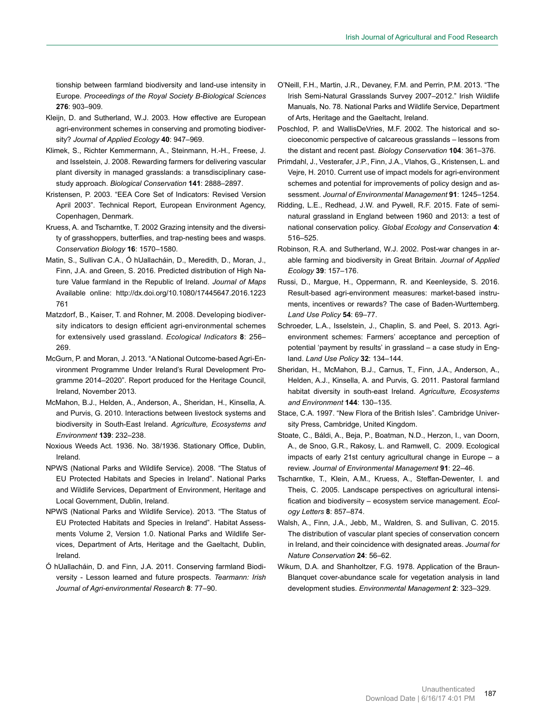tionship between farmland biodiversity and land-use intensity in Europe. *Proceedings of the Royal Society B-Biological Sciences* **276**: 903–909.

- Kleijn, D. and Sutherland, W.J. 2003. How effective are European agri-environment schemes in conserving and promoting biodiversity? *Journal of Applied Ecology* **40**: 947–969.
- Klimek, S., Richter Kemmermann, A., Steinmann, H.-H., Freese, J. and Isselstein, J. 2008. Rewarding farmers for delivering vascular plant diversity in managed grasslands: a transdisciplinary casestudy approach. *Biological Conservation* **141**: 2888–2897.
- Kristensen, P. 2003. "EEA Core Set of Indicators: Revised Version April 2003". Technical Report, European Environment Agency, Copenhagen, Denmark.
- Kruess, A. and Tscharntke, T. 2002 Grazing intensity and the diversity of grasshoppers, butterflies, and trap-nesting bees and wasps. *Conservation Biology* **16**: 1570–1580.
- Matin, S., Sullivan C.A., Ó hUallacháin, D., Meredith, D., Moran, J., Finn, J.A. and Green, S. 2016. Predicted distribution of High Nature Value farmland in the Republic of Ireland. *Journal of Maps* Available online: http://dx.doi.org/10.1080/17445647.2016.1223 761
- Matzdorf, B., Kaiser, T. and Rohner, M. 2008. Developing biodiversity indicators to design efficient agri-environmental schemes for extensively used grassland. *Ecological Indicators* **8**: 256– 269.
- McGurn, P. and Moran, J. 2013. "A National Outcome-based Agri-Environment Programme Under Ireland's Rural Development Programme 2014–2020". Report produced for the Heritage Council, Ireland, November 2013.
- McMahon, B.J., Helden, A., Anderson, A., Sheridan, H., Kinsella, A. and Purvis, G. 2010. Interactions between livestock systems and biodiversity in South-East Ireland. *Agriculture, Ecosystems and Environment* **139**: 232–238.
- Noxious Weeds Act. 1936. No. 38/1936. Stationary Office, Dublin, Ireland.
- NPWS (National Parks and Wildlife Service). 2008. "The Status of EU Protected Habitats and Species in Ireland". National Parks and Wildlife Services, Department of Environment, Heritage and Local Government, Dublin, Ireland.
- NPWS (National Parks and Wildlife Service). 2013. "The Status of EU Protected Habitats and Species in Ireland". Habitat Assessments Volume 2, Version 1.0. National Parks and Wildlife Services, Department of Arts, Heritage and the Gaeltacht, Dublin, Ireland.
- Ó hUallacháin, D. and Finn, J.A. 2011. Conserving farmland Biodiversity - Lesson learned and future prospects. *Tearmann: Irish Journal of Agri-environmental Research* **8**: 77–90.
- O'Neill, F.H., Martin, J.R., Devaney, F.M. and Perrin, P.M. 2013. "The Irish Semi-Natural Grasslands Survey 2007–2012." Irish Wildlife Manuals, No. 78. National Parks and Wildlife Service, Department of Arts, Heritage and the Gaeltacht, Ireland.
- Poschlod, P. and WallisDeVries, M.F. 2002. The historical and socioeconomic perspective of calcareous grasslands – lessons from the distant and recent past. *Biology Conservation* **104**: 361–376.
- Primdahl, J., Vesterafer, J.P., Finn, J.A., Vlahos, G., Kristensen, L. and Vejre, H. 2010. Current use of impact models for agri-environment schemes and potential for improvements of policy design and assessment. *Journal of Environmental Management* **91**: 1245–1254.
- Ridding, L.E., Redhead, J.W. and Pywell, R.F. 2015. Fate of seminatural grassland in England between 1960 and 2013: a test of national conservation policy. *Global Ecology and Conservation* **4**: 516–525.
- Robinson, R.A. and Sutherland, W.J. 2002. Post-war changes in arable farming and biodiversity in Great Britain*. Journal of Applied Ecology* **39**: 157–176.
- Russi, D., Margue, H., Oppermann, R. and Keenleyside, S. 2016. Result-based agri-environment measures: market-based instruments, incentives or rewards? The case of Baden-Wurttemberg. *Land Use Policy* **54**: 69–77.
- Schroeder, L.A., Isselstein, J., Chaplin, S. and Peel, S. 2013. Agrienvironment schemes: Farmers' acceptance and perception of potential 'payment by results' in grassland – a case study in England. *Land Use Policy* **32**: 134–144.
- Sheridan, H., McMahon, B.J., Carnus, T., Finn, J.A., Anderson, A., Helden, A.J., Kinsella, A. and Purvis, G. 2011. Pastoral farmland habitat diversity in south-east Ireland. *Agriculture, Ecosystems and Environment* **144**: 130–135.
- Stace, C.A. 1997. "New Flora of the British Isles". Cambridge University Press, Cambridge, United Kingdom.
- Stoate, C., Báldi, A., Beja, P., Boatman, N.D., Herzon, I., van Doorn, A., de Snoo, G.R., Rakosy, L. and Ramwell, C. 2009. Ecological impacts of early 21st century agricultural change in Europe – a review. *Journal of Environmental Management* **91**: 22–46.
- Tscharntke, T., Klein, A.M., Kruess, A., Steffan-Dewenter, I. and Theis, C. 2005. Landscape perspectives on agricultural intensification and biodiversity – ecosystem service management. *Ecology Letters* **8**: 857–874.
- Walsh, A., Finn, J.A., Jebb, M., Waldren, S. and Sullivan, C. 2015. The distribution of vascular plant species of conservation concern in Ireland, and their coincidence with designated areas. *Journal for Nature Conservation* **24**: 56–62.
- Wikum, D.A. and Shanholtzer, F.G. 1978. Application of the Braun-Blanquet cover-abundance scale for vegetation analysis in land development studies. *Environmental Management* **2**: 323–329.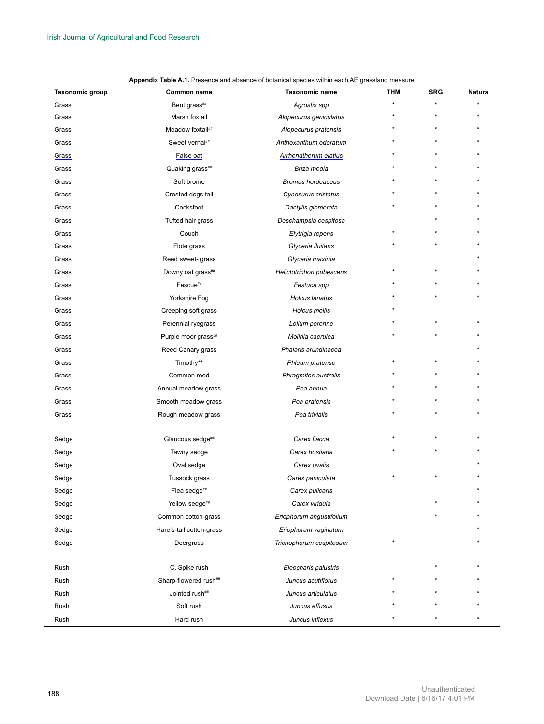| Taxonomic group | <b>Common name</b>       | <b>Taxonomic name</b>    | THM     | <b>SRG</b> | Natura |
|-----------------|--------------------------|--------------------------|---------|------------|--------|
| Grass           | Bent grass##             | Agrostis spp             | $\star$ | $\star$    |        |
| Grass           | Marsh foxtail            | Alopecurus geniculatus   |         |            |        |
| Grass           | Meadow foxtail##         | Alopecurus pratensis     |         |            |        |
| Grass           | Sweet vernal##           | Anthoxanthum odoratum    |         |            |        |
| Grass           | False oat                | Arrhenatherum elatius    |         |            |        |
| Grass           | Quaking grass##          | Briza media              |         |            |        |
| Grass           | Soft brome               | <b>Bromus hordeaceus</b> |         |            |        |
| Grass           | Crested dogs tail        | Cynosurus cristatus      |         |            |        |
| Grass           | Cocksfoot                | Dactylis glomerata       |         |            |        |
| Grass           | Tufted hair grass        | Deschampsia cespitosa    |         |            |        |
| Grass           | Couch                    | Elytrigia repens         |         |            |        |
| Grass           | Flote grass              | Glyceria fluitans        |         |            |        |
| Grass           | Reed sweet- grass        | Glyceria maxima          |         |            |        |
| Grass           | Downy oat grass##        | Helictotrichon pubescens |         |            |        |
| Grass           | Fescue##                 | Festuca spp              |         |            |        |
| Grass           | Yorkshire Fog            | Holcus lanatus           |         |            |        |
| Grass           | Creeping soft grass      | Holcus mollis            |         |            |        |
| Grass           | Perennial ryegrass       | Lolium perenne           |         |            |        |
| Grass           | Purple moor grass##      | Molinia caerulea         |         |            |        |
| Grass           | Reed Canary grass        | Phalaris arundinacea     |         |            |        |
| Grass           | Timothy**                | Phleum pratense          |         |            |        |
| Grass           | Common reed              | Phragmites australis     |         |            |        |
| Grass           | Annual meadow grass      | Poa annua                |         |            |        |
| Grass           | Smooth meadow grass      | Poa pratensis            |         |            |        |
| Grass           | Rough meadow grass       | Poa trivialis            |         |            |        |
| Sedge           | Glaucous sedge##         | Carex flacca             |         |            |        |
| Sedge           | Tawny sedge              | Carex hostiana           |         |            |        |
| Sedge           | Oval sedge               | Carex ovalis             |         |            |        |
| Sedge           | Tussock grass            | Carex paniculata         |         |            |        |
| Sedge           | Flea sedge##             | Carex pulicaris          |         |            |        |
| Sedge           | Yellow sedge##           | Carex viridula           |         |            |        |
| Sedge           | Common cotton-grass      | Eriophorum angustifolium |         |            |        |
| Sedge           | Hare's-tail cotton-grass | Eriophorum vaginatum     |         |            |        |
| Sedge           | Deergrass                | Trichophorum cespitosum  |         |            |        |
| Rush            | C. Spike rush            | Eleocharis palustris     |         |            |        |
| Rush            | Sharp-flowered rush##    | Juncus acutiflorus       |         |            |        |
| Rush            | Jointed rush##           | Juncus articulatus       |         |            |        |
| Rush            | Soft rush                | Juncus effusus           |         |            |        |
| Rush            | Hard rush                | Juncus inflexus          |         |            |        |

**Appendix Table A.1.** Presence and absence of botanical species within each AE grassland measure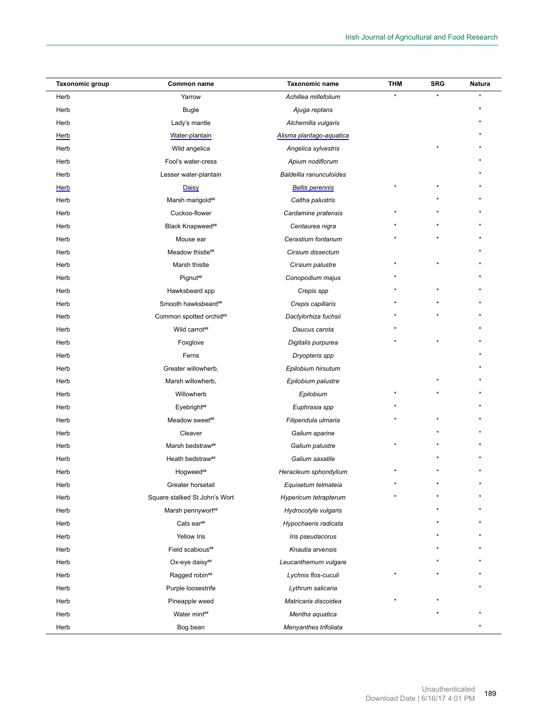| <b>Taxonomic group</b> | <b>Common name</b>            | <b>Taxonomic name</b>    | <b>THM</b> | <b>SRG</b> | Natura |
|------------------------|-------------------------------|--------------------------|------------|------------|--------|
| Herb                   | Yarrow                        | Achillea millefolium     |            |            |        |
| Herb                   | Bugle                         | Ajuga reptans            |            |            |        |
| Herb                   | Lady's mantle                 | Alchemilla vulgaris      |            |            |        |
| Herb                   | Water-plantain                | Alisma plantago-aquatica |            |            |        |
| Herb                   | Wild angelica                 | Angelica sylvestris      |            |            |        |
| Herb                   | Fool's water-cress            | Apium nodiflorum         |            |            |        |
| Herb                   | Lesser water-plantain         | Baldellia ranunculoides  |            |            |        |
| Herb                   | Daisy                         | <b>Bellis perennis</b>   |            |            |        |
| Herb                   | Marsh marigold##              | Caltha palustris         |            |            |        |
| Herb                   | Cuckoo-flower                 | Cardamine pratensis      |            |            |        |
| Herb                   | Black Knapweed***             | Centaurea nigra          |            |            |        |
| Herb                   | Mouse ear                     | Cerastium fontanum       |            |            |        |
| Herb                   | Meadow thistle##              | Cirsium dissectum        |            |            |        |
| Herb                   | Marsh thistle                 | Cirsium palustre         |            |            |        |
| Herb                   | Pignut##                      | Conopodium majus         |            |            |        |
| Herb                   | Hawksbeard spp                | Crepis spp               |            |            |        |
| Herb                   | Smooth hawksbeard##           | Crepis capillaris        |            |            |        |
| Herb                   | Common spotted orchid##       | Dactylorhiza fuchsii     |            |            |        |
| Herb                   | Wild carrot##                 | Daucus carota            |            |            |        |
| Herb                   | Foxglove                      | Digitalis purpurea       |            |            |        |
| Herb                   | Ferns                         | Dryopteris spp           |            |            |        |
| Herb                   | Greater willowherb,           | Epilobium hirsutum       |            |            |        |
| Herb                   | Marsh willowherb,             | Epilobium palustre       |            |            |        |
| Herb                   | Willowherb                    | Epilobium                |            |            |        |
| Herb                   | Eyebright***                  | Euphrasia spp            |            |            |        |
| Herb                   | Meadow sweet##                | Filipendula ulmaria      |            |            |        |
| Herb                   | Cleaver                       | Galium aparine           |            |            |        |
| Herb                   | Marsh bedstraw##              | Galium palustre          |            |            |        |
| Herb                   | Heath bedstraw##              | Galium saxatile          |            |            |        |
| Herb                   | Hogweed##                     | Heracleum sphondylium    |            |            |        |
| Herb                   | Greater horsetail             | Equisetum telmateia      |            |            |        |
| Herb                   | Square stalked St John's Wort | Hypericum tetrapterum    |            |            |        |
| Herb                   | Marsh pennywort##             | Hydrocotyle vulgaris     |            |            |        |
| Herb                   | Cats ear##                    | Hypochaeris radicata     |            |            |        |
| Herb                   | Yellow Iris                   | Iris pseudacorus         |            |            |        |
| Herb                   | Field scabious##              | Knautia arvensis         |            |            |        |
| Herb                   | Ox-eye daisy##                | Leucanthemum vulgare     |            |            |        |
| Herb                   | Ragged robin##                | Lychnis flos-cuculi      |            |            |        |
| Herb                   | Purple loosestrife            | Lythrum salicaria        |            |            |        |
| Herb                   | Pineapple weed                | Matricaria discoidea     |            |            |        |
| Herb                   | Water mint##                  | Mentha aquatica          |            |            |        |
| Herb                   | Bog bean                      | Menyanthes trifoliata    |            |            |        |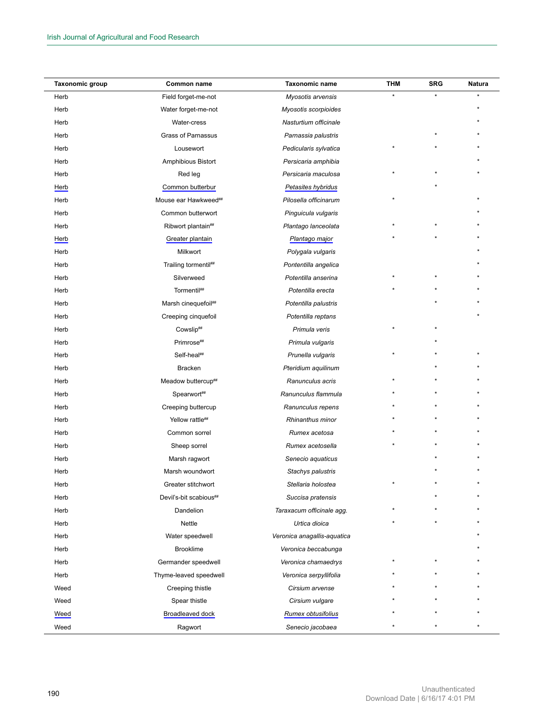| Taxonomic group | Common name                      | <b>Taxonomic name</b>       | <b>THM</b> | <b>SRG</b> | Natura |
|-----------------|----------------------------------|-----------------------------|------------|------------|--------|
| Herb            | Field forget-me-not              | Myosotis arvensis           | $\star$    | $\star$    |        |
| Herb            | Water forget-me-not              | Myosotis scorpioides        |            |            |        |
| Herb            | Water-cress                      | Nasturtium officinale       |            |            |        |
| Herb            | <b>Grass of Parnassus</b>        | Parnassia palustris         |            |            |        |
| Herb            | Lousewort                        | Pedicularis sylvatica       |            |            |        |
| Herb            | Amphibious Bistort               | Persicaria amphibia         |            |            |        |
| Herb            | Red leg                          | Persicaria maculosa         |            |            |        |
| Herb            | Common butterbur                 | <b>Petasites hybridus</b>   |            |            |        |
| Herb            | Mouse ear Hawkweed##             | Pilosella officinarum       |            |            |        |
| Herb            | Common butterwort                | Pinguicula vulgaris         |            |            |        |
| Herb            | Ribwort plantain <sup>##</sup>   | Plantago lanceolata         |            |            |        |
| Herb            | Greater plantain                 | Plantago major              |            |            |        |
| Herb            | Milkwort                         | Polygala vulgaris           |            |            |        |
| Herb            | Trailing tormentil <sup>##</sup> | Pontentilla angelica        |            |            |        |
| Herb            | Silverweed                       | Potentilla anserina         |            |            |        |
| Herb            | Tormentil##                      | Potentilla erecta           |            |            |        |
| Herb            | Marsh cinequefoil <sup>##</sup>  | Potentilla palustris        |            |            |        |
| Herb            | Creeping cinquefoil              | Potentilla reptans          |            |            |        |
| Herb            | Cowslip##                        | Primula veris               |            |            |        |
| Herb            | Primrose##                       | Primula vulgaris            |            |            |        |
| Herb            | Self-heal##                      | Prunella vulgaris           |            |            |        |
| Herb            | <b>Bracken</b>                   | Pteridium aquilinum         |            |            |        |
| Herb            | Meadow buttercup##               | Ranunculus acris            |            |            |        |
| Herb            | Spearwort##                      | Ranunculus flammula         |            |            |        |
| Herb            | Creeping buttercup               | Ranunculus repens           |            |            |        |
| Herb            | Yellow rattle##                  | Rhinanthus minor            |            |            |        |
| Herb            | Common sorrel                    | Rumex acetosa               |            |            |        |
| Herb            | Sheep sorrel                     | Rumex acetosella            |            |            |        |
| Herb            | Marsh ragwort                    | Senecio aquaticus           |            |            |        |
| Herb            | Marsh woundwort                  | Stachys palustris           |            |            |        |
| Herb            | Greater stitchwort               | Stellaria holostea          |            |            |        |
| Herb            | Devil's-bit scabious##           | Succisa pratensis           |            |            |        |
| Herb            | Dandelion                        | Taraxacum officinale agg.   |            |            |        |
| Herb            | <b>Nettle</b>                    | Urtica dioica               |            |            |        |
| Herb            | Water speedwell                  | Veronica anagallis-aquatica |            |            |        |
| Herb            | <b>Brooklime</b>                 | Veronica beccabunga         |            |            |        |
| Herb            | Germander speedwell              | Veronica chamaedrys         |            |            |        |
| Herb            | Thyme-leaved speedwell           | Veronica serpyllifolia      |            |            |        |
| Weed            | Creeping thistle                 | Cirsium arvense             |            |            |        |
| Weed            | Spear thistle                    | Cirsium vulgare             |            |            |        |
| Weed            | Broadleaved dock                 | Rumex obtusifolius          |            |            |        |
| Weed            | Ragwort                          | Senecio jacobaea            |            |            |        |